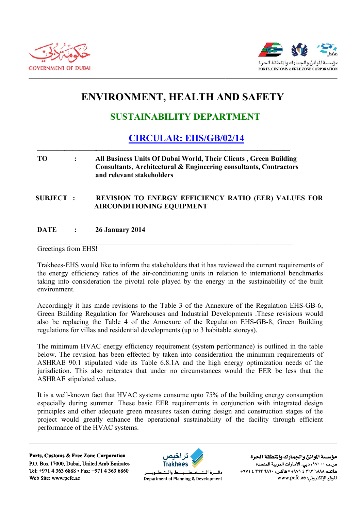



# **ENVIRONMENT, HEALTH AND SAFETY**

# **SUSTAINABILITY DEPARTMENT**

## **CIRCULAR: EHS/GB/02/14**

### T<sub>O</sub>  $\ddot{\cdot}$ All Business Units Of Dubai World, Their Clients, Green Building Consultants, Architectural & Engineering consultants, Contractors and relevant stakeholders

**SUBJECT:** REVISION TO ENERGY EFFICIENCY RATIO (EER) VALUES FOR **AIRCONDITIONING EQUIPMENT** 

#### **DATE 26 January 2014**  $\cdot$

### Greetings from EHS!

Trakhees-EHS would like to inform the stakeholders that it has reviewed the current requirements of the energy efficiency ratios of the air-conditioning units in relation to international benchmarks taking into consideration the pivotal role played by the energy in the sustainability of the built environment

Accordingly it has made revisions to the Table 3 of the Annexure of the Regulation EHS-GB-6. Green Building Regulation for Warehouses and Industrial Developments .These revisions would also be replacing the Table 4 of the Annexure of the Regulation EHS-GB-8, Green Building regulations for villas and residential developments (up to 3 habitable storeys).

The minimum HVAC energy efficiency requirement (system performance) is outlined in the table below. The revision has been effected by taken into consideration the minimum requirements of ASHRAE 90.1 stipulated vide its Table 6.8.1A and the high energy optimization needs of the jurisdiction. This also reiterates that under no circumstances would the EER be less that the **ASHRAE** stipulated values.

It is a well-known fact that HVAC systems consume upto 75% of the building energy consumption especially during summer. These basic EER requirements in conjunction with integrated design principles and other adequate green measures taken during design and construction stages of the project would greatly enhance the operational sustainability of the facility through efficient performance of the HVAC systems.

Ports, Customs & Free Zone Corporation P.O. Box 17000, Dubai, United Arab Emirates Tel: +971 4 363 6888 • Fax: +971 4 363 6860 Web Site: www.pcfc.ae



ط والــتـ دائسرة البت Department of Planning & Development

مؤسسة الموانئ والجمارك والنطقة الحرة ص.ب ١٧٠٠٠، دبي، الأمارات العربية المتحدة ماتف: ٢٦٨٨ ٣٦٣ ٢ ٤ ٢٩٧١ • فاكس: ٢٦٢ ٢ ٢٦٢ ٤ ٢٩٧١+ الموقع الإلكتروني: www.pcfc.ae